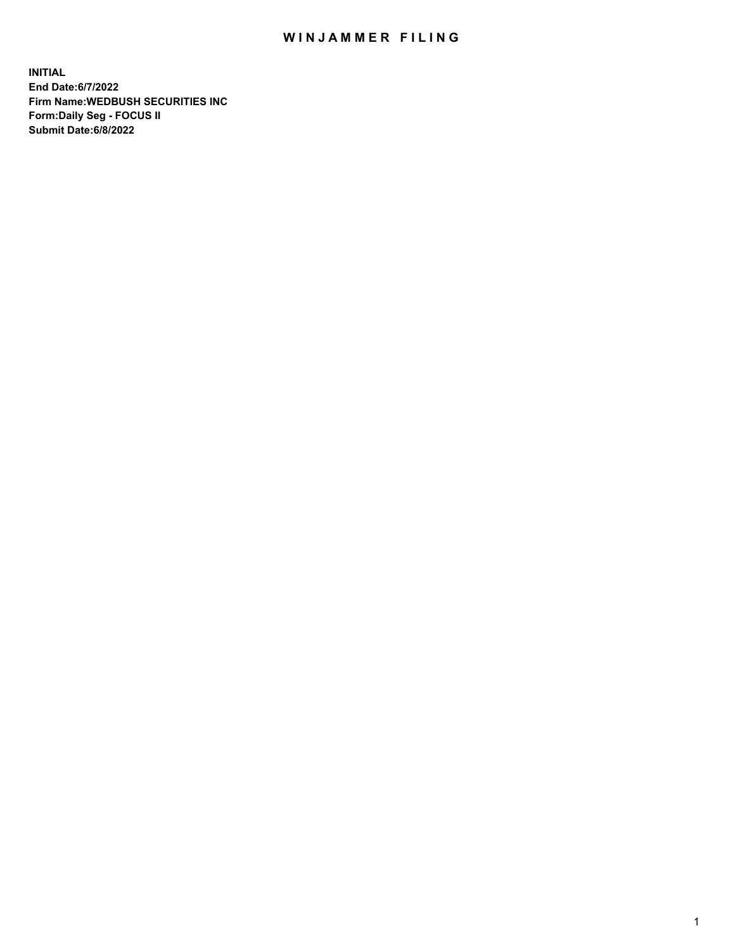## WIN JAMMER FILING

**INITIAL End Date:6/7/2022 Firm Name:WEDBUSH SECURITIES INC Form:Daily Seg - FOCUS II Submit Date:6/8/2022**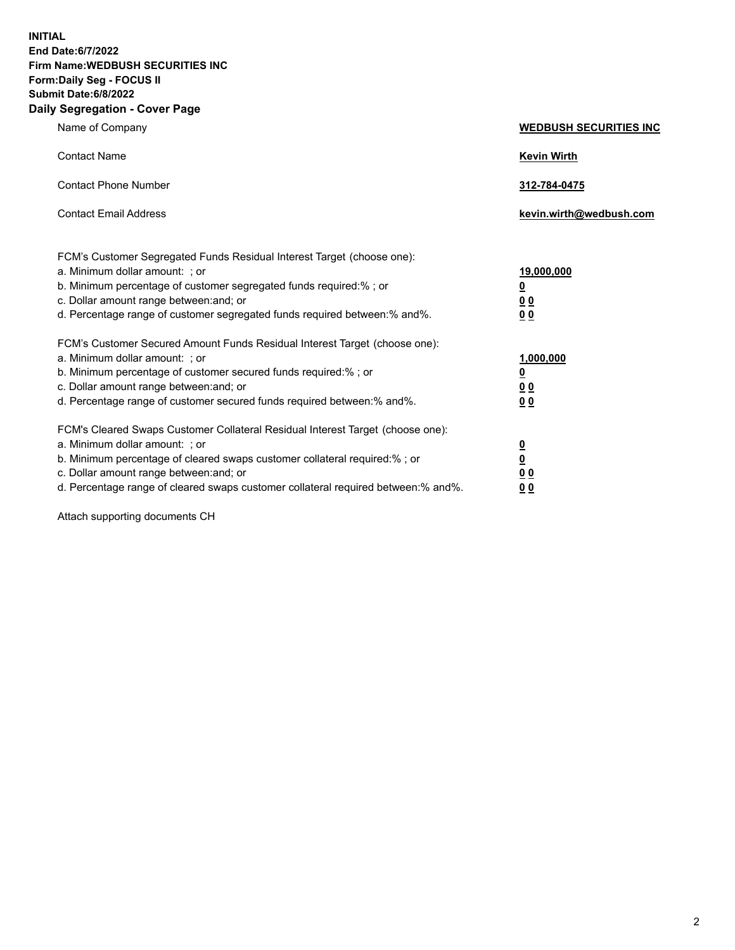**INITIAL End Date:6/7/2022 Firm Name:WEDBUSH SECURITIES INC Form:Daily Seg - FOCUS II Submit Date:6/8/2022 Daily Segregation - Cover Page**

| $-99.99$ and $-99.0$                                                                                                                                                                                                                                                                                                               |                               |  |  |
|------------------------------------------------------------------------------------------------------------------------------------------------------------------------------------------------------------------------------------------------------------------------------------------------------------------------------------|-------------------------------|--|--|
| Name of Company                                                                                                                                                                                                                                                                                                                    | <b>WEDBUSH SECURITIES INC</b> |  |  |
| <b>Contact Name</b>                                                                                                                                                                                                                                                                                                                | <b>Kevin Wirth</b>            |  |  |
| <b>Contact Phone Number</b>                                                                                                                                                                                                                                                                                                        | 312-784-0475                  |  |  |
| <b>Contact Email Address</b>                                                                                                                                                                                                                                                                                                       | kevin.wirth@wedbush.com       |  |  |
| FCM's Customer Segregated Funds Residual Interest Target (choose one):                                                                                                                                                                                                                                                             |                               |  |  |
| a. Minimum dollar amount: : or                                                                                                                                                                                                                                                                                                     | 19,000,000                    |  |  |
| b. Minimum percentage of customer segregated funds required:%; or                                                                                                                                                                                                                                                                  | <u>0</u>                      |  |  |
| c. Dollar amount range between: and; or                                                                                                                                                                                                                                                                                            | <u>00</u>                     |  |  |
| d. Percentage range of customer segregated funds required between:% and%.                                                                                                                                                                                                                                                          | 0 <sub>0</sub>                |  |  |
| FCM's Customer Secured Amount Funds Residual Interest Target (choose one):                                                                                                                                                                                                                                                         |                               |  |  |
| a. Minimum dollar amount: ; or                                                                                                                                                                                                                                                                                                     | 1,000,000                     |  |  |
| b. Minimum percentage of customer secured funds required:%; or                                                                                                                                                                                                                                                                     | <u>0</u>                      |  |  |
| c. Dollar amount range between: and; or                                                                                                                                                                                                                                                                                            | <u>00</u>                     |  |  |
| d. Percentage range of customer secured funds required between:% and%.                                                                                                                                                                                                                                                             | 00                            |  |  |
| FCM's Cleared Swaps Customer Collateral Residual Interest Target (choose one):                                                                                                                                                                                                                                                     |                               |  |  |
| a. Minimum dollar amount: ; or                                                                                                                                                                                                                                                                                                     | $\overline{\mathbf{0}}$       |  |  |
| b. Minimum percentage of cleared swaps customer collateral required:% ; or                                                                                                                                                                                                                                                         | <u>0</u>                      |  |  |
| c. Dollar amount range between: and; or                                                                                                                                                                                                                                                                                            | <u>00</u>                     |  |  |
| $\overline{a}$ and $\overline{a}$ and $\overline{a}$ and $\overline{a}$ and $\overline{a}$ and $\overline{a}$ and $\overline{a}$ and $\overline{a}$ and $\overline{a}$ and $\overline{a}$ and $\overline{a}$ and $\overline{a}$ and $\overline{a}$ and $\overline{a}$ and $\overline{a}$ and $\overline{a}$ and $\overline{a}$ and |                               |  |  |

d. Percentage range of cleared swaps customer collateral required between:% and%. **0 0**

Attach supporting documents CH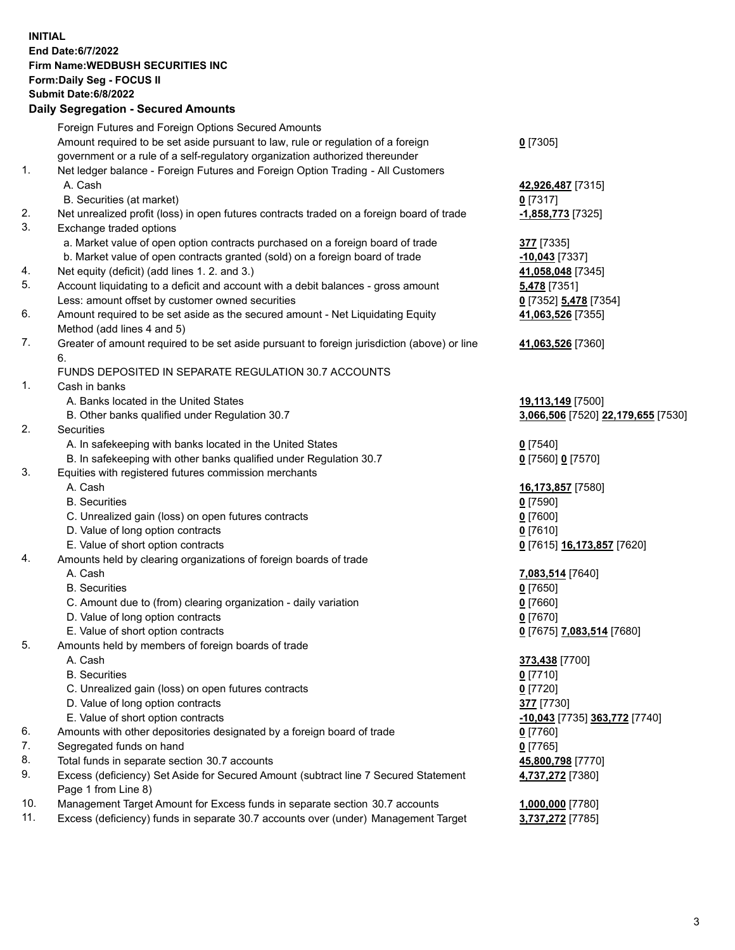**INITIAL End Date:6/7/2022 Firm Name:WEDBUSH SECURITIES INC Form:Daily Seg - FOCUS II Submit Date:6/8/2022 Daily Segregation - Secured Amounts**

|     | 2011, Ocgi ogation - Oceaned Anioania                                                             |                                      |
|-----|---------------------------------------------------------------------------------------------------|--------------------------------------|
|     | Foreign Futures and Foreign Options Secured Amounts                                               |                                      |
|     | Amount required to be set aside pursuant to law, rule or regulation of a foreign                  | $0$ [7305]                           |
|     | government or a rule of a self-regulatory organization authorized thereunder                      |                                      |
| 1.  | Net ledger balance - Foreign Futures and Foreign Option Trading - All Customers                   |                                      |
|     | A. Cash                                                                                           | 42,926,487 [7315]                    |
|     | B. Securities (at market)                                                                         | $0$ [7317]                           |
| 2.  | Net unrealized profit (loss) in open futures contracts traded on a foreign board of trade         | -1,858,773 [7325]                    |
| 3.  | Exchange traded options                                                                           |                                      |
|     | a. Market value of open option contracts purchased on a foreign board of trade                    | 377 [7335]                           |
|     | b. Market value of open contracts granted (sold) on a foreign board of trade                      | -10,043 [7337]                       |
| 4.  | Net equity (deficit) (add lines 1. 2. and 3.)                                                     | 41,058,048 [7345]                    |
| 5.  | Account liquidating to a deficit and account with a debit balances - gross amount                 | <b>5,478</b> [7351]                  |
|     | Less: amount offset by customer owned securities                                                  | 0 [7352] 5,478 [7354]                |
| 6.  | Amount required to be set aside as the secured amount - Net Liquidating Equity                    | 41,063,526 [7355]                    |
|     | Method (add lines 4 and 5)                                                                        |                                      |
| 7.  | Greater of amount required to be set aside pursuant to foreign jurisdiction (above) or line<br>6. | 41,063,526 [7360]                    |
|     | FUNDS DEPOSITED IN SEPARATE REGULATION 30.7 ACCOUNTS                                              |                                      |
| 1.  | Cash in banks                                                                                     |                                      |
|     | A. Banks located in the United States                                                             | 19,113,149 [7500]                    |
|     | B. Other banks qualified under Regulation 30.7                                                    | 3,066,506 [7520] 22,179,655 [7530]   |
| 2.  | Securities                                                                                        |                                      |
|     | A. In safekeeping with banks located in the United States                                         | $Q$ [7540]                           |
|     | B. In safekeeping with other banks qualified under Regulation 30.7                                | 0 [7560] 0 [7570]                    |
| 3.  | Equities with registered futures commission merchants                                             |                                      |
|     | A. Cash                                                                                           | 16,173,857 [7580]                    |
|     | <b>B.</b> Securities                                                                              | $0$ [7590]                           |
|     | C. Unrealized gain (loss) on open futures contracts                                               | $0$ [7600]                           |
|     | D. Value of long option contracts                                                                 | $0$ [7610]                           |
|     | E. Value of short option contracts                                                                | 0 [7615] 16,173,857 [7620]           |
| 4.  | Amounts held by clearing organizations of foreign boards of trade                                 |                                      |
|     | A. Cash                                                                                           | 7,083,514 [7640]                     |
|     | <b>B.</b> Securities                                                                              | $0$ [7650]                           |
|     | C. Amount due to (from) clearing organization - daily variation                                   | $0$ [7660]                           |
|     | D. Value of long option contracts                                                                 | $0$ [7670]                           |
|     | E. Value of short option contracts                                                                | 0 [7675] 7,083,514 [7680]            |
| 5.  | Amounts held by members of foreign boards of trade                                                |                                      |
|     | A. Cash                                                                                           | 373,438 [7700]                       |
|     | <b>B.</b> Securities                                                                              | $0$ [7710]                           |
|     | C. Unrealized gain (loss) on open futures contracts                                               | $0$ [7720]                           |
|     | D. Value of long option contracts                                                                 | 377 [7730]                           |
|     | E. Value of short option contracts                                                                | <u>-10,043</u> [7735] 363,772 [7740] |
| 6.  | Amounts with other depositories designated by a foreign board of trade                            | 0 [7760]                             |
| 7.  | Segregated funds on hand                                                                          | <u>0</u> [7765]                      |
| 8.  | Total funds in separate section 30.7 accounts                                                     | 45,800,798 [7770]                    |
| 9.  | Excess (deficiency) Set Aside for Secured Amount (subtract line 7 Secured Statement               | 4,737,272 [7380]                     |
|     | Page 1 from Line 8)                                                                               |                                      |
| 10. | Management Target Amount for Excess funds in separate section 30.7 accounts                       | 1,000,000 [7780]                     |
| 11. | Excess (deficiency) funds in separate 30.7 accounts over (under) Management Target                | 3,737,272 [7785]                     |
|     |                                                                                                   |                                      |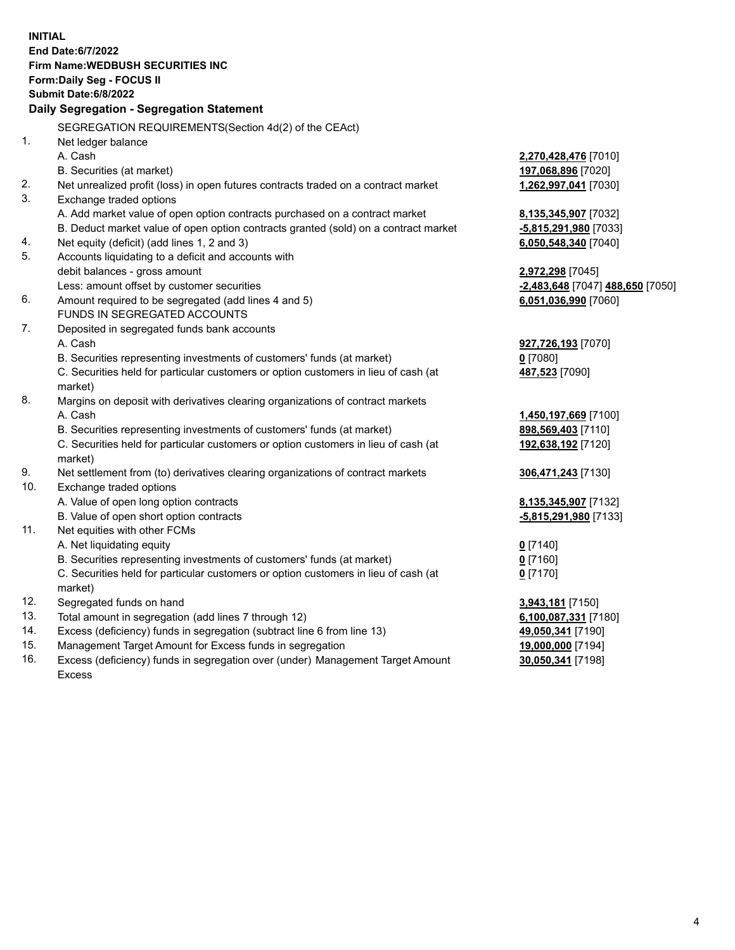|     | <b>INITIAL</b>                                                                                 |                                  |
|-----|------------------------------------------------------------------------------------------------|----------------------------------|
|     | End Date: 6/7/2022                                                                             |                                  |
|     | <b>Firm Name: WEDBUSH SECURITIES INC</b>                                                       |                                  |
|     | <b>Form:Daily Seg - FOCUS II</b>                                                               |                                  |
|     | Submit Date: 6/8/2022                                                                          |                                  |
|     | Daily Segregation - Segregation Statement                                                      |                                  |
|     | SEGREGATION REQUIREMENTS(Section 4d(2) of the CEAct)                                           |                                  |
| 1.  | Net ledger balance                                                                             |                                  |
|     | A. Cash                                                                                        | 2,270,428,476 [7010]             |
|     | B. Securities (at market)                                                                      | 197,068,896 [7020]               |
| 2.  | Net unrealized profit (loss) in open futures contracts traded on a contract market             | 1,262,997,041 [7030]             |
| 3.  | Exchange traded options                                                                        |                                  |
|     | A. Add market value of open option contracts purchased on a contract market                    | 8,135,345,907 [7032]             |
|     | B. Deduct market value of open option contracts granted (sold) on a contract market            | -5,815,291,980 [7033]            |
| 4.  | Net equity (deficit) (add lines 1, 2 and 3)                                                    | 6,050,548,340 [7040]             |
| 5.  | Accounts liquidating to a deficit and accounts with                                            |                                  |
|     | debit balances - gross amount                                                                  | 2,972,298 [7045]                 |
|     | Less: amount offset by customer securities                                                     | -2,483,648 [7047] 488,650 [7050] |
| 6.  | Amount required to be segregated (add lines 4 and 5)                                           | 6,051,036,990 [7060]             |
|     | FUNDS IN SEGREGATED ACCOUNTS                                                                   |                                  |
| 7.  | Deposited in segregated funds bank accounts                                                    |                                  |
|     | A. Cash                                                                                        | 927,726,193 [7070]               |
|     | B. Securities representing investments of customers' funds (at market)                         | $0$ [7080]                       |
|     | C. Securities held for particular customers or option customers in lieu of cash (at            | 487,523 [7090]                   |
|     | market)                                                                                        |                                  |
| 8.  | Margins on deposit with derivatives clearing organizations of contract markets                 |                                  |
|     | A. Cash                                                                                        | 1,450,197,669 [7100]             |
|     | B. Securities representing investments of customers' funds (at market)                         | 898,569,403 [7110]               |
|     | C. Securities held for particular customers or option customers in lieu of cash (at<br>market) | 192,638,192 [7120]               |
| 9.  | Net settlement from (to) derivatives clearing organizations of contract markets                | 306,471,243 [7130]               |
| 10. | Exchange traded options                                                                        |                                  |
|     | A. Value of open long option contracts                                                         | 8,135,345,907 [7132]             |
|     | B. Value of open short option contracts                                                        | -5,815,291,980 [7133]            |
| 11. | Net equities with other FCMs                                                                   |                                  |
|     | A. Net liquidating equity                                                                      | $0$ [7140]                       |
|     | B. Securities representing investments of customers' funds (at market)                         | $0$ [7160]                       |
|     | C. Securities held for particular customers or option customers in lieu of cash (at            | $0$ [7170]                       |
|     | market)                                                                                        |                                  |
| 12. | Segregated funds on hand                                                                       | 3,943,181 [7150]                 |
| 13. | Total amount in segregation (add lines 7 through 12)                                           | 6,100,087,331 [7180]             |
| 14. | Excess (deficiency) funds in segregation (subtract line 6 from line 13)                        | 49,050,341 [7190]                |
| 15. | Management Target Amount for Excess funds in segregation                                       | 19,000,000 [7194]                |
| 16. | Excess (deficiency) funds in segregation over (under) Management Target Amount                 | 30,050,341 [7198]                |

16. Excess (deficiency) funds in segregation over (under) Management Target Amount Excess